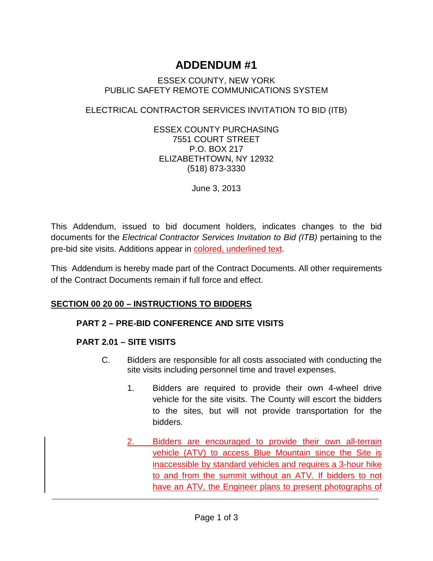# **ADDENDUM #1**

#### ESSEX COUNTY, NEW YORK PUBLIC SAFETY REMOTE COMMUNICATIONS SYSTEM

## ELECTRICAL CONTRACTOR SERVICES INVITATION TO BID (ITB)

ESSEX COUNTY PURCHASING 7551 COURT STREET P.O. BOX 217 ELIZABETHTOWN, NY 12932 (518) 873-3330

June 3, 2013

This Addendum, issued to bid document holders, indicates changes to the bid documents for the *Electrical Contractor Services Invitation to Bid (ITB)* pertaining to the pre-bid site visits. Additions appear in colored, underlined text.

This Addendum is hereby made part of the Contract Documents. All other requirements of the Contract Documents remain if full force and effect.

### **SECTION 00 20 00 – INSTRUCTIONS TO BIDDERS**

#### **PART 2 – PRE-BID CONFERENCE AND SITE VISITS**

### **PART 2.01 – SITE VISITS**

- C. Bidders are responsible for all costs associated with conducting the site visits including personnel time and travel expenses.
	- 1. Bidders are required to provide their own 4-wheel drive vehicle for the site visits. The County will escort the bidders to the sites, but will not provide transportation for the bidders.
	- Bidders are encouraged to provide their own all-terrain vehicle (ATV) to access Blue Mountain since the Site is inaccessible by standard vehicles and requires a 3-hour hike to and from the summit without an ATV. If bidders to not have an ATV, the Engineer plans to present photographs of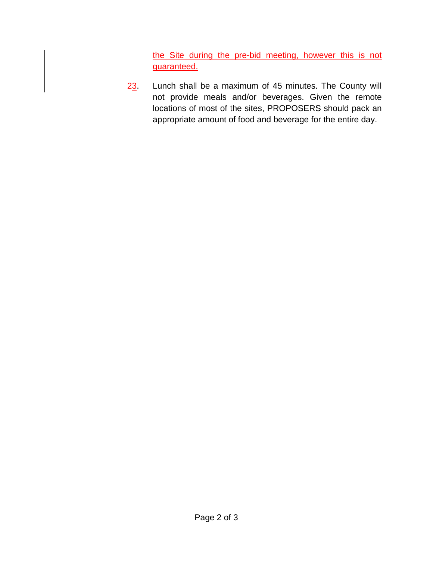the Site during the pre-bid meeting, however this is not guaranteed.

23. Lunch shall be a maximum of 45 minutes. The County will not provide meals and/or beverages. Given the remote locations of most of the sites, PROPOSERS should pack an appropriate amount of food and beverage for the entire day.